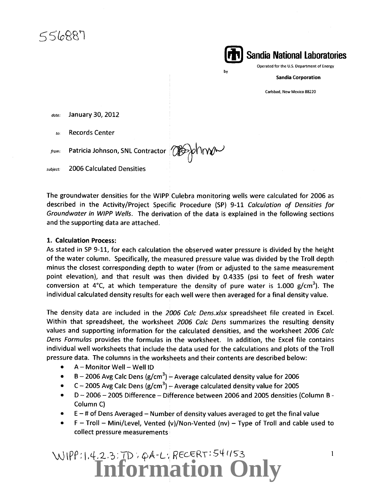556887

**(il, 1 Sandia National Laboratories** 

Operated for the U.S. Department of Energy

Sandia Corporation

Carlsbad, New Mexico 88220

*date:* January 30, 2012

*to:* Records Center

*from*: Patricia Johnson, SNL Contractor (OGS)

*subject:* 2006 Calculated Densities

The groundwater densities for the WIPP Culebra monitoring wells were calculated for 2006 as described in the Activity/Project Specific Procedure (SP) 9-11 Calculation of Densities for Groundwater in WIPP Wells. The derivation of the data is explained in the following sections and the supporting data are attached.

by

#### 1. Calculation Process:

As stated in SP 9-11, for each calculation the observed water pressure is divided by the height of the water column. Specifically, the measured pressure value was divided by the Troll depth minus the closest corresponding depth to water (from or adjusted to the same measurement point elevation), and that result was then divided by 0.4335 (psi to feet of fresh water conversion at 4°C, at which temperature the density of pure water is 1.000 g/cm<sup>3</sup>). The individual calculated density results for each well were then averaged for a final density value.

The density data are included in the 2006 Calc Dens.xlsx spreadsheet file created in Excel. Within that spreadsheet, the worksheet 2006 Calc Dens summarizes the resulting density values and supporting information for the calculated densities, and the worksheet 2006 Calc Dens Formulas provides the formulas in the worksheet. In addition, the Excel file contains individual well worksheets that include the data used for the calculations and plots of the Troll pressure data. The columns in the worksheets and their contents are described below:

- $\bullet$   $A-M$ onitor Well Well ID
- B 2006 Avg Calc Dens (g/cm<sup>3</sup>)  $\frac{1}{2}$  Average calculated density value for 2006
- C 2005 Avg Calc Dens (g/cm<sup>3</sup>)  $+$  Average calculated density value for 2005
- D- 2006- 2005 Difference- Difference between 2006 and 2005 densities (Column B-Column C)
- $\bullet$   $\phantom{1}$  E  $-$  # of Dens Averaged  $-$  Number of density values averaged to get the final value
- $F Troll Mini/Level$ , Vented (v)/Non-Vented (nv) Type of Troll and cable used to collect pressure measurements ·

## WIPP:1.4.2.3:7D: pA-L: RECERT:541153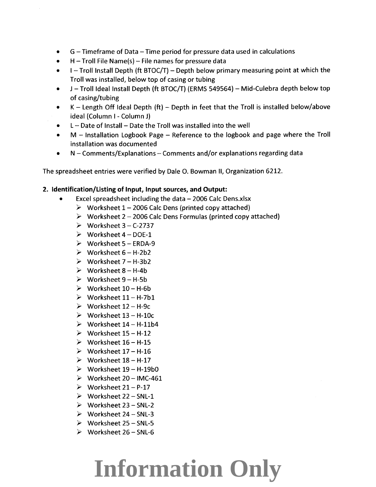- G- Timeframe of Data- Time period for pressure data used in calculations
- $H$  Troll File Name(s) File names for pressure data
- $\bullet$  I Troll Install Depth (ft BTOC/T) Depth below primary measuring point at which the Troll was installed, below top of casing or tubing
- $\bullet$  J Troll Ideal Install Depth (ft BTOC/T) (ERMS 549564) Mid-Culebra depth below top of casing/tubing
- K Length Off Ideal Depth  $ft$ ) Depth in feet that the Troll is installed below/above ideal (Column I - Column J)
- L- Date of Install- Date the Troll was installed into the well
- M Installation Logbook Page Reference to the logbook and page where the Troll installation was documented
- N Comments/Explanations Comments and/or explanations regarding data

The spreadsheet entries were verified by Dale 0. Bowman II, Organization 6212.

#### **2. Identification/Listing of Input, Input sources, and Output:**

- Excel spreadsheet including the data $-$  2006 Calc Dens.xlsx
	- $\triangleright$  Worksheet 1 2006 Calc Dens (printed copy attached)
	- $\triangleright$  Worksheet 2 2006 Calc Dens Formulas (printed copy attached)
	- $\triangleright$  Worksheet 3 C-2737
	- $\triangleright$  Worksheet 4 DOE-1
	- $\triangleright$  Worksheet 5 ERDA-9
	- $\triangleright$  Worksheet 6 H-2b2
	- $\triangleright$  Worksheet 7 H-3b2
	- $\triangleright$  Worksheet 8 H-4b
	- $\triangleright$  Worksheet 9 H-5b
	- $\triangleright$  Worksheet 10 H-6b
	- $\triangleright$  Worksheet 11 H-7b1
	- $\triangleright$  Worksheet 12 H-9c
	- $\triangleright$  Worksheet  $13 H-10c$
	- $\triangleright$  Worksheet 14 H-11b4
	- $\triangleright$  Worksheet 15 H-12
	- $\triangleright$  Worksheet 16 H-15
	- $\triangleright$  Worksheet 17 H-16
	- $\triangleright$  Worksheet 18 H-17
	- $\triangleright$  Worksheet 19 H-19b0
	- $\triangleright$  Worksheet 20 IMC-461
	- $\triangleright$  Worksheet 21 P-17
	- $\triangleright$  Worksheet 22 SNL-1
	- $\triangleright$  Worksheet 23 SNL-2
	- $\triangleright$  Worksheet 24 SNL-3
	- $\triangleright$  Worksheet 25 SNL-5
	- $\triangleright$  Worksheet 26 SNL-6

### **Information Only**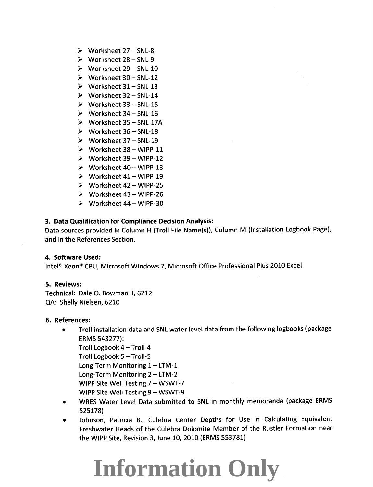- *?* Worksheet 27- SNL-8
- *?* Worksheet 28- SNL-9
- *?* Worksheet 29- SNL-10
- *?* Worksheet 30- SNL-12
- *?* Worksheet 31- SNL-13
- *?* Worksheet 32- SNL-14
- *?* Worksheet 33- SNL-15
- *?* Worksheet 34- SNL-16
- *?* Worksheet 35- SNL-17A
- *?* Worksheet 36- SNL-18
- *?* Worksheet 37- SNL-19
- *?* Worksheet 38- WIPP-11
- *?* Worksheet 39- WIPP-12
- *?* Worksheet 40- WIPP-13
- *?* Worksheet 41- WIPP-19
- *?* Worksheet 42- WIPP-25
- *?* Worksheet 43- WIPP-26
- *?* Worksheet 44- WIPP-30

#### **3. Data Qualification for Compliance Decision Analysis:**

Data sources provided in Column H (Troll File Name(s)), Column M (Installation Logbook Page), and in the References Section.

#### **4. Software Used:**

Intel® Xeon® CPU, Microsoft Windows 7, Microsoft Office Professional Plus 2010 Excel

#### **5. Reviews:**

Technical: Dale 0. Bowman II, 6212 QA: Shelly Nielsen, 6210

#### **6. References:**

• Troll installation data and SNL water level data from the following logbooks (package ERMS 543277):

Troll Logbook  $4 -$  Troll-4

Troll Logbook 5 - Troll-5

Long-Term Monitoring  $1 - LTM-1$ 

Long-Term Monitoring 2- LTM-2

WIPP Site Well Testing 7 - WSWT-7

- WIPP Site Well Testing 9 WSWT-9
- WRES Water Level Data submitted to SNL in monthly memoranda (package ERMS 525178)
- Johnson, Patricia B., Culebra Center Depths for Use in Calculating Equivalent Freshwater Heads of the Culebra Dolomite Member of the Rustler Formation near the WIPP Site, Revision 3, June 10, 2010 (ERMS 553781)

### **Information Only**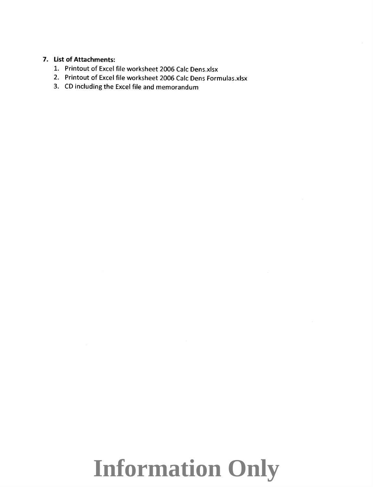#### **7. List of Attachments:**

- 1. Printout of Excel file worksheet 2006 Calc Dens.xlsx
- 2. Printout of Excel file worksheet 2006 Calc Dens Formulas.xlsx
- 3. CD including the Excel file and memorandum

### **Information Only**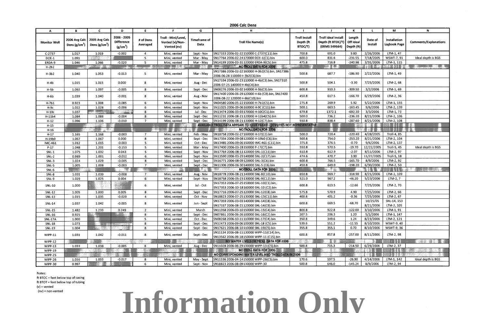# **Information Only**

Notes: ft BTOC = feet below top of casing ft BTOT =feet below top of tubing  $(v)$  = vented (nv) = non-vented

|                          | B               | $\mathbf{C}$                                      | D                                                        | E                           | <b>C</b>                                              | G                    | 2006 Calc Dens<br>н                                                                        |                                              |                                                                  |                                       |                       | M                            | N.                           |
|--------------------------|-----------------|---------------------------------------------------|----------------------------------------------------------|-----------------------------|-------------------------------------------------------|----------------------|--------------------------------------------------------------------------------------------|----------------------------------------------|------------------------------------------------------------------|---------------------------------------|-----------------------|------------------------------|------------------------------|
| A<br><b>Monitor Well</b> | Dens $(g/cm^3)$ | 2006 Avg Calc   2005 Avg Calc<br>Dens ( $g/cm3$ ) | 2006 - 2005<br><b>Difference</b><br>(g/cm <sup>3</sup> ) | # of Dens<br>Averaged       | Troll - Mini/Level,<br>Vented (v)/Non-<br>Vented (nv) | Timeframe of<br>Data | <b>Troll File Name(s)</b>                                                                  | <b>Troll Install</b><br>Depth (ft<br>BTOC/T) | <b>Troll Ideal Install</b><br>Depth (ft BTOC/T)<br>(ERMS 549564) | Length<br>Off Ideal<br>$ $ Depth (ft) | Date of<br>Install    | Installation<br>Logbook Page | <b>Comments/Explanations</b> |
| $C-2737$                 | 1.017           | 1.019                                             | $-0.002$                                                 | 4                           | Mini, vented                                          | Sept - Nov           | SN17333 2006-02-22 150000 C-2737(C11).bin                                                  | 700.8                                        | 691.0                                                            | 9.80                                  | 2/26/2006             | LTM-1, 47                    |                              |
| DOE-1                    | 1.091           | 2003                                              |                                                          | 5.                          | Mini, vented                                          | Mar - May            | SN17764 2006-02-24 170000 DOE-1(C1).bin                                                    | 600.0                                        | 831.6                                                            | $-231.55$                             | 7/18/2005             | WSWT-7, 91                   | Ideal depth is BGS           |
| ERDA-9                   | 1.046           | 1.066                                             | $-0.020$                                                 | 5                           | Mini, vented                                          | Mar - May            | SN14199 2006-03-31 120000 ERDA-9(C5).bin                                                   | 475.8                                        | 716.8                                                            | $-240.98$                             | 3/31/2006             | LTM-1, 115                   |                              |
| $H-2b2$                  |                 |                                                   |                                                          |                             | <u>a sa mga kalenda</u>                               |                      | NO TROLL DATA FOR 2006                                                                     | <u>is a strong a</u>                         | <b>Britain</b>                                                   |                                       |                       |                              |                              |
| $H-3b2$                  | 1.040           | 1.053                                             | $-0.013$                                                 | 5.                          | Mini, vented                                          | Mar - May            | SN17386 2006-02-22 160000 H-3b2(C5).bin, SN17386<br>2006-06-28 110000 H-3b2(C6).bin        | 500.8                                        | 687.7                                                            | $-186.90$                             | 2/22/2006             | LTM-1, 49                    |                              |
| H-4b                     | 1.015           | 1.015                                             | 0.000                                                    | 8                           | Mini, vented                                          | Aug - Dec            | SN17334 2006-02-23 110000 H-4b(C3).bin, SN17310<br>2006-07-25 140000 H-4b(C4).bin          | 500.8                                        | 504.1                                                            | $-3.30$                               | 7/25/2006             | LTM-2, 68                    |                              |
| $H-5b$                   | 1.092           | 1.097                                             | $-0.005$                                                 | 8                           | Mini, vented                                          | Sept - Dec           | SN08276 2006-03-02 140000 H-5b(C3).bin                                                     | 600.8                                        | 910.3                                                            | $-309.50$                             | 3/2/2006              | LTM-1, 69                    |                              |
| $H-6b$                   | 1.039           | 1.040                                             | $-0.001$                                                 | 8                           | Mini, vented                                          | Aug - Nov            | SN17400 2006-06-29 120000 H-6b (C9).bin, SN17400<br>2006-08-22 120000 H-6b(C10).bin        | 450.8                                        | 617.5                                                            | -166.70                               | 6/29/2006             | LTM-2, 36                    |                              |
| H-7b1                    | 0.923           | 1.008                                             | $-0.085$                                                 | 6                           | Mini, vented                                          | Sept - Nov           | SN04580 2006-05-22 150000 H-7b1(C5).bin                                                    | 275.8                                        | 269.9                                                            | 5.92                                  | 5/22/2006             | LTM-1, 155                   |                              |
| Н-9с                     | 1.022           | 1.028                                             | $-0.006$                                                 | -6                          | Mini, vented                                          | Sept - Nov           | SN11025 2006-09-06 160000 H-9C (C11).bin                                                   | 500.1                                        | 663.5                                                            | $-163.45$                             | 9/6/2006              | LTM-2, 139                   |                              |
| $H-10c$                  | 1.037           | an San San S                                      |                                                          | 8                           | Mini, vented                                          | Jul - Dec            | SN13474 2006-03-03 170000 H-10C(C1).bin                                                    | 679.8                                        | 1372.1                                                           | $-692.30$                             | 3/3/2006              | LTM-1, 73                    |                              |
| $H-11b4$                 | 1.084           | 1.088                                             | $-0.004$                                                 | 8                           | Mini, vented                                          | Sept - Dec           | SN11231 2006-08-21 120000 H-11b4(C5).bin                                                   | 500.0                                        | 736.2                                                            | $-236.20$                             | 8/21/2006             | LTM-2, 106                   |                              |
| $H-12$                   | 1.096           | 1.106                                             | $-0.010$                                                 | $\overline{7}$              | Mini, vented                                          | Sept - Dec           | SN14199 2006-08-21 130000 H-12(C7).bin                                                     | 550.8                                        | 838.4                                                            | $-287.60$                             | 8/21/2006             | LTM-2, 108                   |                              |
| $H-15$                   |                 |                                                   |                                                          |                             |                                                       |                      | AVAILABLE TROLL DATA APPEARS TO HAVE FAILED - DENSITIES NOT REPRESENTATIVE                 |                                              |                                                                  |                                       |                       |                              |                              |
| $H-16$                   |                 | <b>SAS</b>                                        |                                                          |                             |                                                       |                      | <b>NO TROLL DATA FOR 2006</b>                                                              |                                              |                                                                  |                                       |                       |                              |                              |
| $H-17$                   | 1.165           | 1.168                                             | $-0.003$                                                 |                             | Mini, vented                                          | Feb - May            | SN18758 2006-02-27 160000 H-17(C2).bin                                                     | 500.0                                        | 720.4                                                            | $-220.40$                             | 4/28/2005             | Troll-4, 85                  |                              |
| H-19b0                   | 1.067           | 1.067                                             | 0.000                                                    | 8                           | Mini, vented                                          | Sept - Dec           | SN17334 2006-09-08 120000 H-19b0 (C6).bin                                                  | 500.8                                        | 754.0                                                            | $-253.20$                             | 8/21/2006             | LTM-2, 104                   |                              |
| <b>IMC-461</b>           | 1.012           | 1.015                                             | $-0.003$                                                 | 5 <sub>1</sub>              | Mini, vented                                          | Oct - Dec            | SN13485 2006-09-06 150000 IMC-461 (C11).bin                                                | 375.8                                        | 376.5                                                            | $-0.70$                               | 9/6/2006              | LTM-2, 137                   |                              |
| $P-17$                   | 1.048           | 1.201                                             | $-0.153$                                                 | 5                           | Mini, vented                                          | Mar - May            | SN17400 2006-03-28 150000 P-17(C7).bin                                                     | 550.8                                        | 570.5                                                            | $-19.70$                              | 12/22/2005            | Troll-5, 45                  | Ideal depth is BGS           |
| $SNL-1$                  | 1.075           | 1.032                                             | 0.043                                                    | 5 <sup>1</sup>              | Mini, vented                                          | Sept - Nov           | SN17764 2006-08-11 120000 SNL-1(C11).bin                                                   | 610.8                                        | 612.9                                                            | $-2.07$                               | 8/11/2006             | LTM-2, 97                    |                              |
| $SNL-2$                  | 0.989           | 1.001                                             | $-0.012$                                                 | 6                           | Mini, vented                                          | Sept - Nov           | SN13590 2006-03-29 140000 SNL-2(C17).bin                                                   | 474.6                                        | 470.7                                                            | 3.90                                  | 11/22/2005            | <b>Troll-5, 18</b>           |                              |
| $SNL-3$                  | 1.024           | 1.029                                             | $-0.005$                                                 | 8                           | Mini, vented                                          | Sept - Dec           | SN16771 2006-08-09 120000 SNL-3(C6).bin                                                    | 600.8                                        | 766.5                                                            | $-165.70$                             | 8/9/2006              | LTM-2, 92                    |                              |
| SNL-5                    | 1.005           | 1.008                                             | $-0.003$                                                 | $\overline{7}$              | Mini, vented                                          | Sept - Dec           | SN11306 2006-06-30 140000 SNL-5 (C6).bin                                                   | 450.8                                        | 649.0                                                            | $-198.20$                             | 6/30/2006             | LTM-2, 50                    |                              |
| SNL-6                    |                 |                                                   |                                                          |                             |                                                       |                      | <b>NO TROLL DATA FOR 2006</b>                                                              |                                              |                                                                  |                                       |                       |                              |                              |
| SNL-8                    | 1.031           | 1.039                                             | $-0.008$                                                 | 7                           | Mini, vented                                          | Aug - Nov            | SN18778 2006-08-21 140000 SNL-8(C10).bin                                                   | 650.8                                        | 969.7                                                            | $-318.90$                             | 8/21/2006             | LTM-2, 109                   |                              |
| SNL-9                    | 1.029           | 1.025                                             | 0.004                                                    | 6                           | Mini, vented                                          | Sept - Nov           | SN18758 2006-05-23 130000 SNL-9(C12).bin                                                   | 521.0                                        | 567.2                                                            | $-46.20$                              | 5/23/2006             | LTM-2, 7                     |                              |
| <b>SNL-10</b>            | 1.000           |                                                   |                                                          | 6                           | Mini, vented                                          | Jul - Oct            | SN17353 2006-07-25 150000 SNL-10(C1).bin,<br>SN17353 2006-10-18 160000 SNL-10 (C2).bin     | 600.8                                        | 613.5                                                            | $-12.66$                              | 7/25/2006             | LTM-2, 70                    |                              |
| <b>SNL-12</b>            | 1.005           | 1.000                                             | 0.005                                                    | 8                           | Mini, vented                                          | Sept - Dec           | SN17716 2006-07-25 120000 SNL-12(C8).bin                                                   | 575.8                                        | 570.9                                                            | 4.90                                  | 7/25/2006             | LTM-2, 66                    |                              |
| <b>SNL-13</b>            | 1.015           | 1.035                                             | $-0.020$                                                 | 4                           | Mini, vented                                          | Oct - Nov            | SN18823 2006-07-25 130000 SNL-13(C11).bin                                                  | 400.8                                        | 401.2                                                            | $-0.36$                               | 7/25/2006             | LTM-2, 67                    |                              |
| <b>SNL-14</b>            | 1.037           | 1.042                                             | $-0.005$                                                 | 8                           | Mini, vented                                          | Jun - Sept           | SN17359 2006-03-03 140000 SNL-14(C8).bin,<br>SN17337 2006-08-21 120000 SNL-14(C9).bin      | 600.8                                        | 669.5                                                            | $-68.70$                              | 10/25/05<br>8/21/2006 | SNL-14, 153<br>LTM-2, 105    |                              |
| <b>SNL-15</b>            | 1.482           | 1.233                                             | 0.249                                                    | $\overline{2}$              | Mini, vented                                          | March                | SN11358 2006-03-10 150000 SNL-15(C4).bin                                                   | 800.8                                        | 922.8                                                            | $-122.00$                             | 3/10/2006             | LTM-1, 91                    |                              |
| <b>SNL-16</b>            | 0.925           |                                                   | <b>RESIDENCE</b>                                         | 8                           | Mini, vented                                          | Sept - Dec           | SN07861 2006-06-26 100000 SNL-16(C2).bin                                                   | 207.5                                        | 206.3                                                            | 1.20                                  | 5/2/2006              | LTM-1, 147                   |                              |
| SNL-17A                  | 1.000           |                                                   |                                                          | 5                           | Mini, vented                                          | Oct - Dec            | SN08268 2006-10-11 110000 SNL-17(C4).bin                                                   | 350.8                                        | 349.6                                                            | 1.24                                  | 8/23/2006             | LTM-2, 121                   |                              |
| <b>SNL 18</b>            | 1.073           |                                                   | <b>STATE STATE</b>                                       | 8                           | Mini, vented                                          | Sept - Dec           | SN12473 2006-09-06 100000 SNL-18 (C5).bin                                                  | 539.6                                        | 551.2                                                            | $-11.55$                              | 8/10/2006             | WSWT-9, 40                   |                              |
| SNL-19                   | 1.004           |                                                   |                                                          | 8                           | Mini, vented                                          | Sept - Dec           | SN17621 2006-08-10 110000 SNL-19(C5).bin                                                   | 355.8                                        | 355.1                                                            | 0.70                                  | 8/10/2006             | WSWT-9, 36                   |                              |
| <b>WIPP-11</b>           | 1.031           | 1.042                                             | $-0.011$                                                 | 8                           | Mini, vented                                          | Sept - Dec           | SN11134 2006-08-11 130000 WIPP-11(C14).bin,<br>SN13562 2006-09-18 150000 WIPP-11 (C15).bin | 600.8                                        | 857.8                                                            | -257.00                               | 8/11/2006             | LTM-2, 98                    |                              |
| <b>WIPP-12</b>           |                 |                                                   |                                                          | $\mathcal{M}_{\mathcal{G}}$ |                                                       |                      | NO WATER LEVELS OR TROLL DATA FOR 2006                                                     |                                              |                                                                  |                                       |                       |                              |                              |
| WIPP-13                  | 1.033           | 1.038                                             | $-0.005$                                                 | -8                          | Mini, vented                                          | Aug - Dec            | SN11028 2006-06-29 130000 WIPP-13 (C5).bin                                                 | 500.8                                        | 715.3                                                            | $-214.50$                             | 6/29/2006             | LTM-2, 37                    |                              |
| <b>WIPP-19</b>           |                 |                                                   |                                                          |                             |                                                       |                      | NO TROLL DATA FOR 2006                                                                     |                                              |                                                                  |                                       |                       | $\mathbf{C}(\mathbf{H})$     |                              |
| WIPP-25                  |                 |                                                   |                                                          |                             |                                                       |                      | NO CORRESPONDING WATER LEVEL AND TROLL DATA IN 2006                                        |                                              |                                                                  |                                       |                       | 1991                         |                              |
| WIPP-26                  | 1.016           | 1.033                                             | $-0.017$                                                 | 8                           | Mini, vented                                          | May - Sept           | SN11336 2006-04-14 150000 WIPP-26(C5).bin                                                  | 170.6                                        | 197.5                                                            | $-26.90$                              | 4/14/2006             | LTM-1, 142                   | Ideal depth is BGS           |
| WIPP-30                  | 0.997           |                                                   |                                                          | 6                           | Mini, vented                                          | Sept - Nov           | SN18823 2006-08-09 130000 WIPP-30                                                          | 500.8                                        | 646.0                                                            | -145.24                               | 8/9/2006              | LTM-2, 94                    |                              |